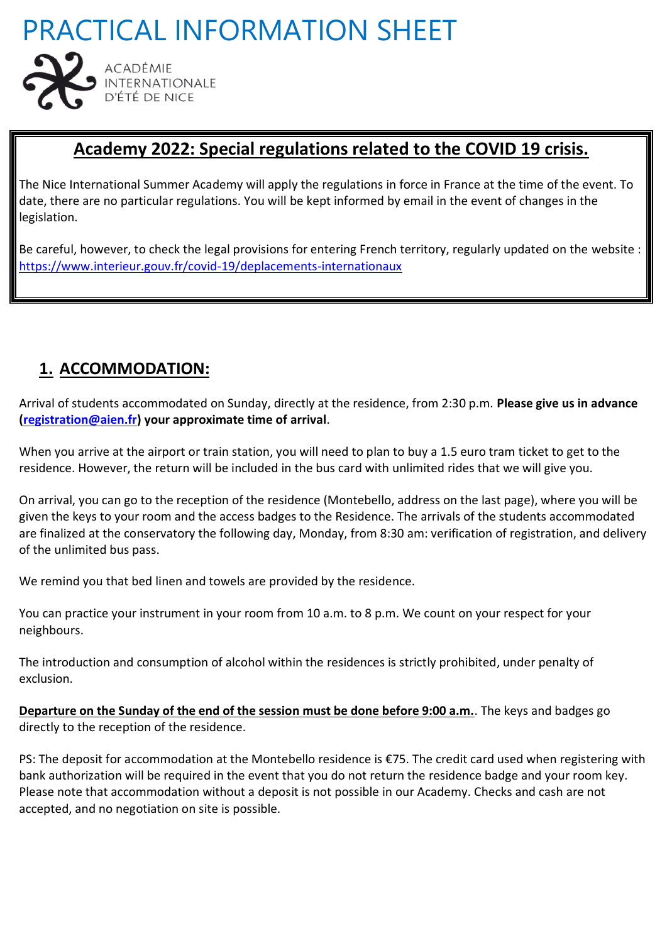

## **Academy 2022: Special regulations related to the COVID 19 crisis.**

The Nice International Summer Academy will apply the regulations in force in France at the time of the event. To date, there are no particular regulations. You will be kept informed by email in the event of changes in the legislation.

Be careful, however, to check the legal provisions for entering French territory, regularly updated on the website : <https://www.interieur.gouv.fr/covid-19/deplacements-internationaux>

## **1. ACCOMMODATION:**

Arrival of students accommodated on Sunday, directly at the residence, from 2:30 p.m. **Please give us in advance [\(registration@aien.fr\)](mailto:registration@aien.fr) your approximate time of arrival**.

When you arrive at the airport or train station, you will need to plan to buy a 1.5 euro tram ticket to get to the residence. However, the return will be included in the bus card with unlimited rides that we will give you.

On arrival, you can go to the reception of the residence (Montebello, address on the last page), where you will be given the keys to your room and the access badges to the Residence. The arrivals of the students accommodated are finalized at the conservatory the following day, Monday, from 8:30 am: verification of registration, and delivery of the unlimited bus pass.

We remind you that bed linen and towels are provided by the residence.

You can practice your instrument in your room from 10 a.m. to 8 p.m. We count on your respect for your neighbours.

The introduction and consumption of alcohol within the residences is strictly prohibited, under penalty of exclusion.

**Departure on the Sunday of the end of the session must be done before 9:00 a.m.**. The keys and badges go directly to the reception of the residence.

PS: The deposit for accommodation at the Montebello residence is €75. The credit card used when registering with bank authorization will be required in the event that you do not return the residence badge and your room key. Please note that accommodation without a deposit is not possible in our Academy. Checks and cash are not accepted, and no negotiation on site is possible.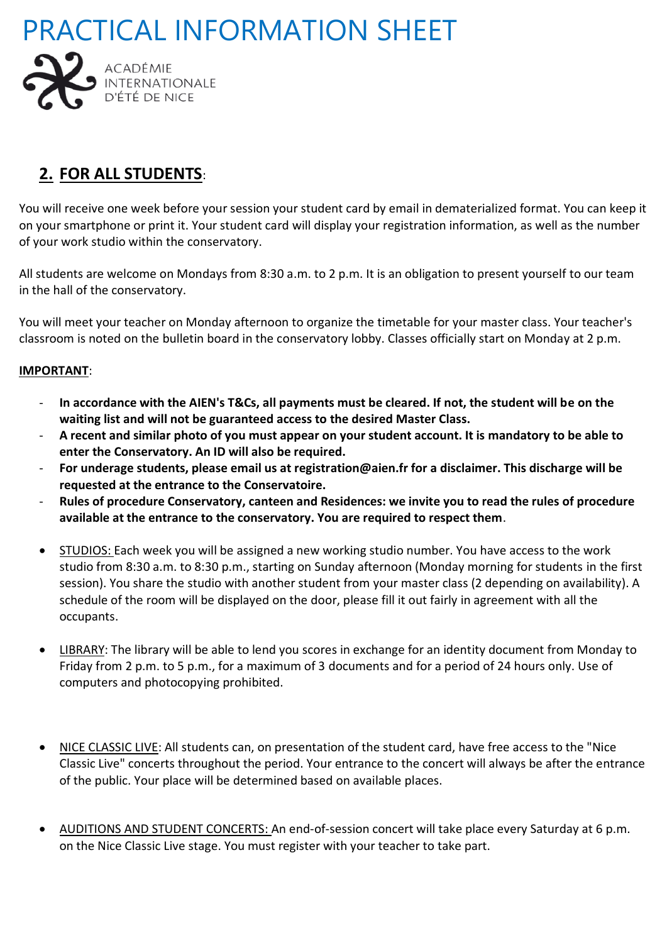



### **2. FOR ALL STUDENTS**:

You will receive one week before your session your student card by email in dematerialized format. You can keep it on your smartphone or print it. Your student card will display your registration information, as well as the number of your work studio within the conservatory.

All students are welcome on Mondays from 8:30 a.m. to 2 p.m. It is an obligation to present yourself to our team in the hall of the conservatory.

You will meet your teacher on Monday afternoon to organize the timetable for your master class. Your teacher's classroom is noted on the bulletin board in the conservatory lobby. Classes officially start on Monday at 2 p.m.

#### **IMPORTANT**:

- **In accordance with the AIEN's T&Cs, all payments must be cleared. If not, the student will be on the waiting list and will not be guaranteed access to the desired Master Class.**
- **A recent and similar photo of you must appear on your student account. It is mandatory to be able to enter the Conservatory. An ID will also be required.**
- **For underage students, please email us at registration@aien.fr for a disclaimer. This discharge will be requested at the entrance to the Conservatoire.**
- **Rules of procedure Conservatory, canteen and Residences: we invite you to read the rules of procedure available at the entrance to the conservatory. You are required to respect them**.
- STUDIOS: Each week you will be assigned a new working studio number. You have access to the work studio from 8:30 a.m. to 8:30 p.m., starting on Sunday afternoon (Monday morning for students in the first session). You share the studio with another student from your master class (2 depending on availability). A schedule of the room will be displayed on the door, please fill it out fairly in agreement with all the occupants.
- LIBRARY: The library will be able to lend you scores in exchange for an identity document from Monday to Friday from 2 p.m. to 5 p.m., for a maximum of 3 documents and for a period of 24 hours only. Use of computers and photocopying prohibited.
- NICE CLASSIC LIVE: All students can, on presentation of the student card, have free access to the "Nice Classic Live" concerts throughout the period. Your entrance to the concert will always be after the entrance of the public. Your place will be determined based on available places.
- AUDITIONS AND STUDENT CONCERTS: An end-of-session concert will take place every Saturday at 6 p.m. on the Nice Classic Live stage. You must register with your teacher to take part.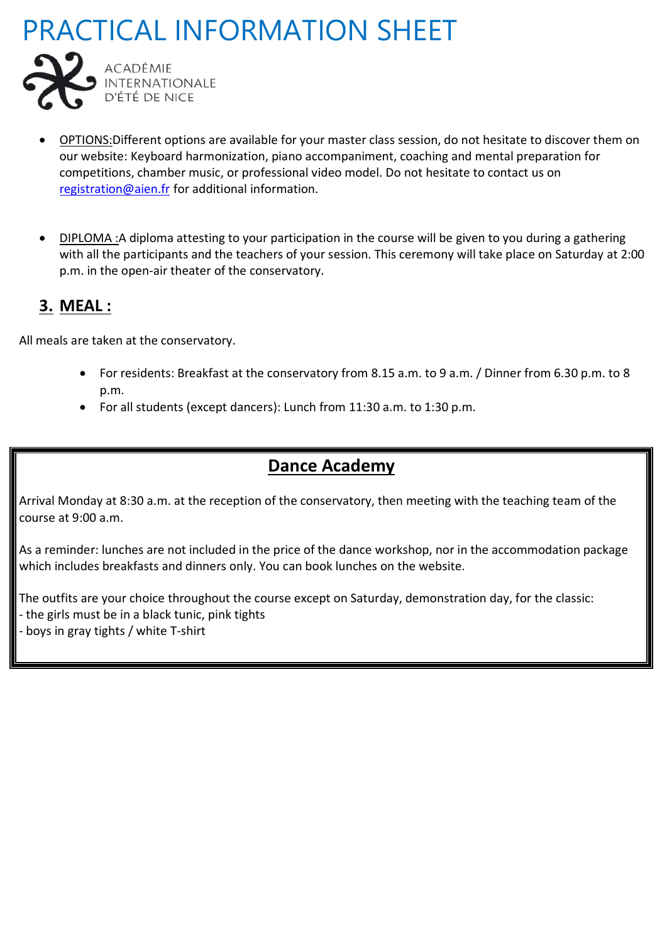

- OPTIONS:Different options are available for your master class session, do not hesitate to discover them on our website: Keyboard harmonization, piano accompaniment, coaching and mental preparation for competitions, chamber music, or professional video model. Do not hesitate to contact us on [registration@aien.fr](mailto:registration@aien.fr) for additional information.
- DIPLOMA :A diploma attesting to your participation in the course will be given to you during a gathering with all the participants and the teachers of your session. This ceremony will take place on Saturday at 2:00 p.m. in the open-air theater of the conservatory.

## **3. MEAL :**

All meals are taken at the conservatory.

- For residents: Breakfast at the conservatory from 8.15 a.m. to 9 a.m. / Dinner from 6.30 p.m. to 8 p.m.
- For all students (except dancers): Lunch from 11:30 a.m. to 1:30 p.m.

## **Dance Academy**

Arrival Monday at 8:30 a.m. at the reception of the conservatory, then meeting with the teaching team of the course at 9:00 a.m.

As a reminder: lunches are not included in the price of the dance workshop, nor in the accommodation package which includes breakfasts and dinners only. You can book lunches on the website.

The outfits are your choice throughout the course except on Saturday, demonstration day, for the classic:

- the girls must be in a black tunic, pink tights
- boys in gray tights / white T-shirt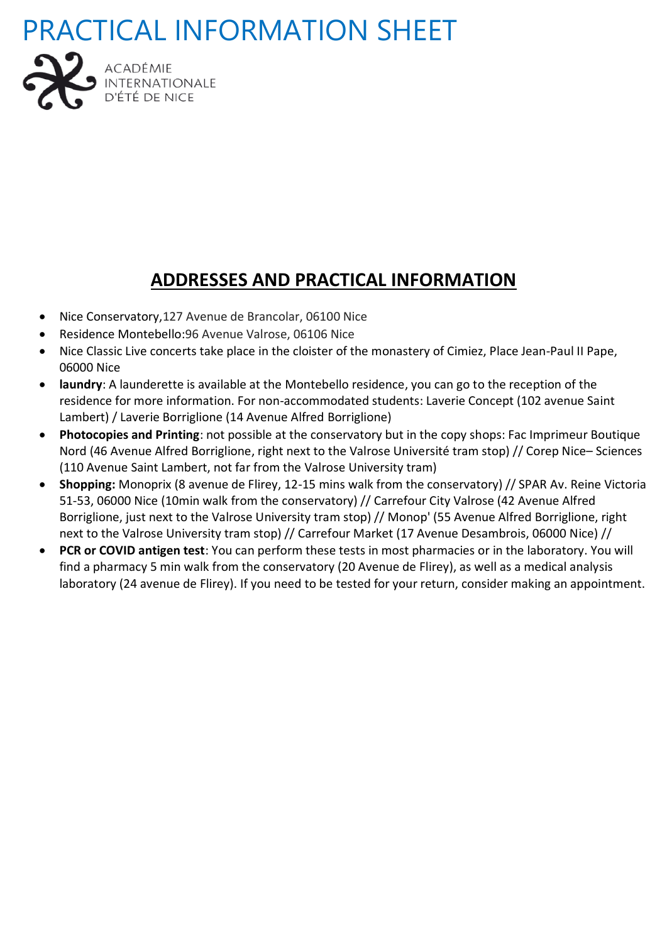

## **ADDRESSES AND PRACTICAL INFORMATION**

- Nice Conservatory,127 Avenue de Brancolar, 06100 Nice
- Residence Montebello:96 Avenue Valrose, 06106 Nice
- Nice Classic Live concerts take place in the cloister of the monastery of Cimiez, Place Jean-Paul II Pape, 06000 Nice
- **laundry**: A launderette is available at the Montebello residence, you can go to the reception of the residence for more information. For non-accommodated students: Laverie Concept (102 avenue Saint Lambert) / Laverie Borriglione (14 Avenue Alfred Borriglione)
- **Photocopies and Printing**: not possible at the conservatory but in the copy shops: Fac Imprimeur Boutique Nord (46 Avenue Alfred Borriglione, right next to the Valrose Université tram stop) // Corep Nice– Sciences (110 Avenue Saint Lambert, not far from the Valrose University tram)
- **Shopping:** Monoprix (8 avenue de Flirey, 12-15 mins walk from the conservatory) // SPAR Av. Reine Victoria 51-53, 06000 Nice (10min walk from the conservatory) // Carrefour City Valrose (42 Avenue Alfred Borriglione, just next to the Valrose University tram stop) // Monop' (55 Avenue Alfred Borriglione, right next to the Valrose University tram stop) // Carrefour Market (17 Avenue Desambrois, 06000 Nice) //
- **PCR or COVID antigen test**: You can perform these tests in most pharmacies or in the laboratory. You will find a pharmacy 5 min walk from the conservatory (20 Avenue de Flirey), as well as a medical analysis laboratory (24 avenue de Flirey). If you need to be tested for your return, consider making an appointment.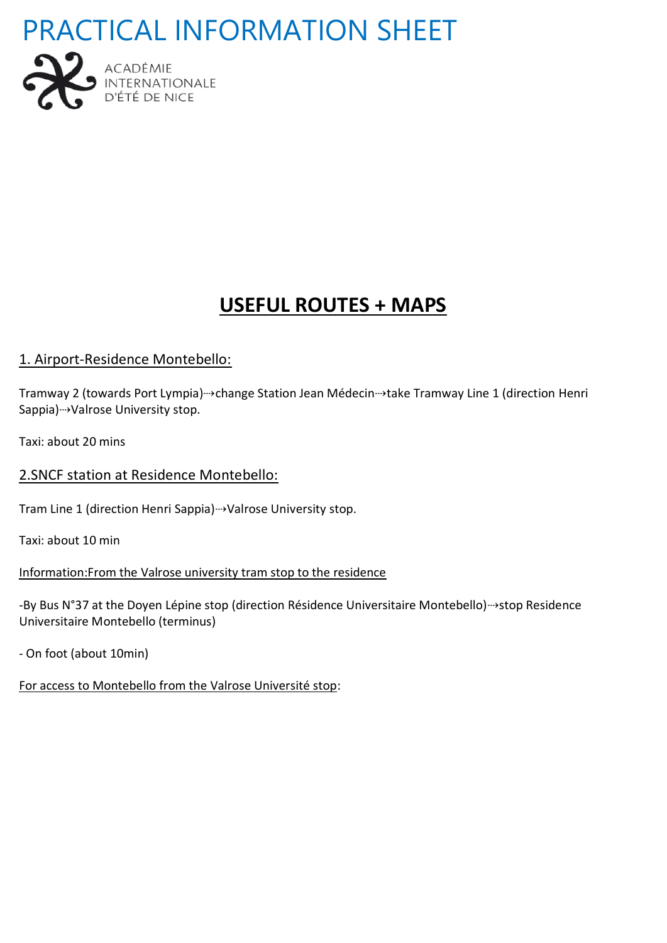



## **USEFUL ROUTES + MAPS**

### 1. Airport-Residence Montebello:

Tramway 2 (towards Port Lympia)→change Station Jean Médecin→take Tramway Line 1 (direction Henri Sappia) → Valrose University stop.

Taxi: about 20 mins

### 2.SNCF station at Residence Montebello:

Tram Line 1 (direction Henri Sappia)⇢Valrose University stop.

Taxi: about 10 min

Information:From the Valrose university tram stop to the residence

-By Bus N°37 at the Doyen Lépine stop (direction Résidence Universitaire Montebello)⇢stop Residence Universitaire Montebello (terminus)

- On foot (about 10min)

For access to Montebello from the Valrose Université stop: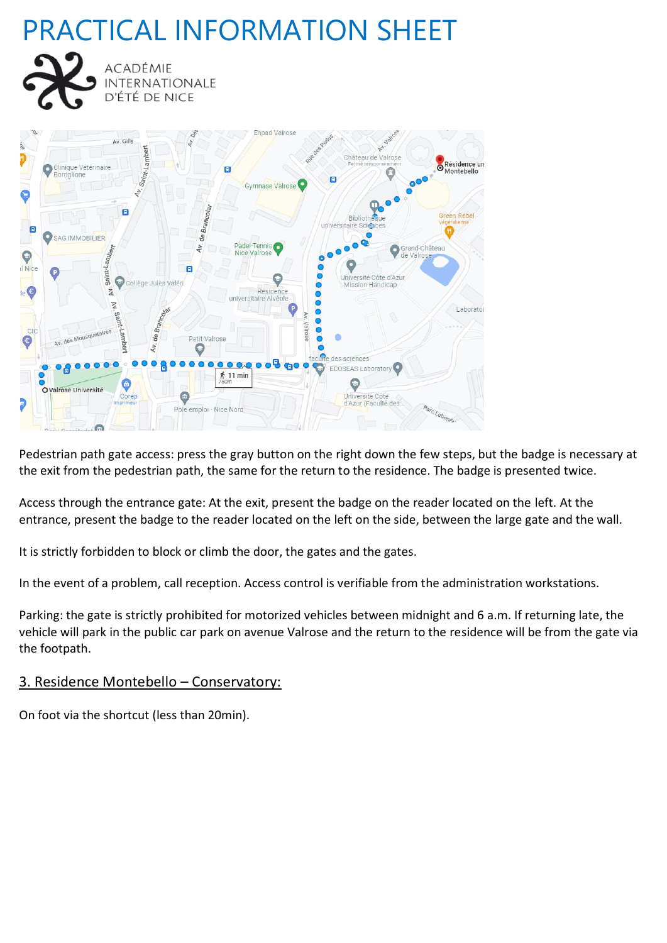**ACADÉMIE** 

**INTERNATIONALE** D'ÉTÉ DE NICE



Pedestrian path gate access: press the gray button on the right down the few steps, but the badge is necessary at the exit from the pedestrian path, the same for the return to the residence. The badge is presented twice.

Access through the entrance gate: At the exit, present the badge on the reader located on the left. At the entrance, present the badge to the reader located on the left on the side, between the large gate and the wall.

It is strictly forbidden to block or climb the door, the gates and the gates.

In the event of a problem, call reception. Access control is verifiable from the administration workstations.

Parking: the gate is strictly prohibited for motorized vehicles between midnight and 6 a.m. If returning late, the vehicle will park in the public car park on avenue Valrose and the return to the residence will be from the gate via the footpath.

#### 3. Residence Montebello – Conservatory:

On foot via the shortcut (less than 20min).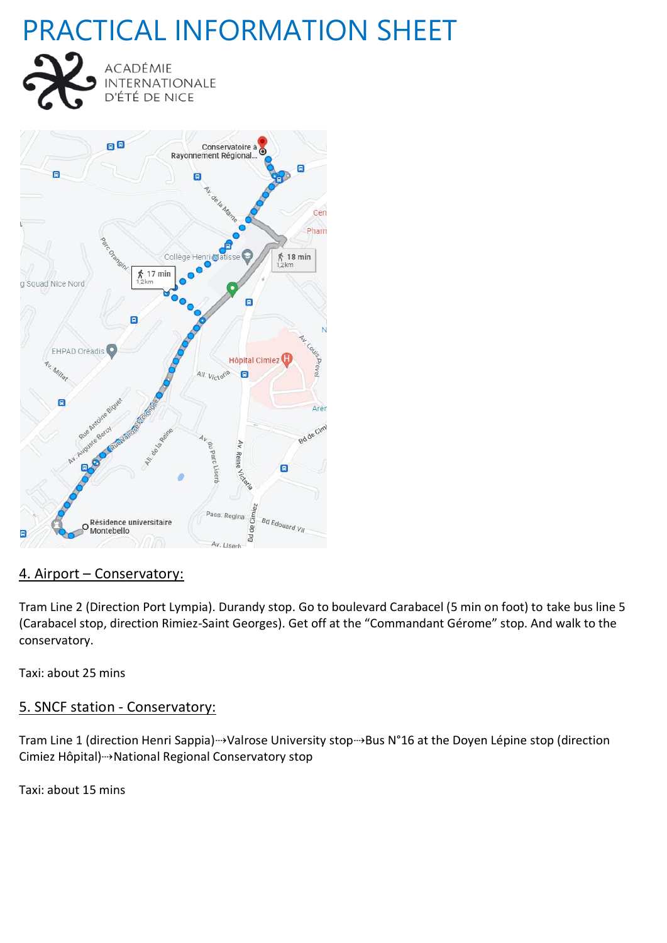



### 4. Airport – Conservatory:

Tram Line 2 (Direction Port Lympia). Durandy stop. Go to boulevard Carabacel (5 min on foot) to take bus line 5 (Carabacel stop, direction Rimiez-Saint Georges). Get off at the "Commandant Gérome" stop. And walk to the conservatory.

Taxi: about 25 mins

### 5. SNCF station - Conservatory:

Tram Line 1 (direction Henri Sappia)→Valrose University stop→Bus N°16 at the Doyen Lépine stop (direction Cimiez Hôpital)⇢National Regional Conservatory stop

Taxi: about 15 mins